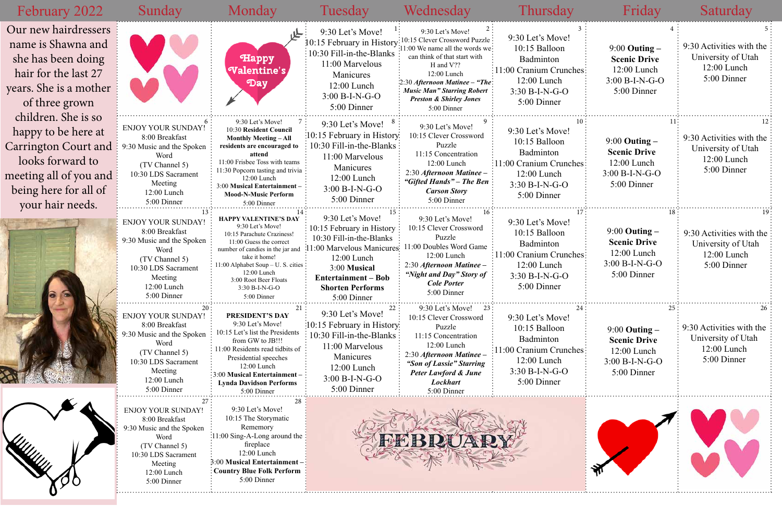| February 2022                                                                                                                                                        | Sunday                                                                                                                                                                   | Monday                                                                                                                                                                                                                                                                               | Tuesday                                                                                                                                                                                                       | Wednesday                                                                                                                                                                                                                                                                                             | Thursday                                                                                                                             | Friday                                                                                       | Saturday                                                                       |
|----------------------------------------------------------------------------------------------------------------------------------------------------------------------|--------------------------------------------------------------------------------------------------------------------------------------------------------------------------|--------------------------------------------------------------------------------------------------------------------------------------------------------------------------------------------------------------------------------------------------------------------------------------|---------------------------------------------------------------------------------------------------------------------------------------------------------------------------------------------------------------|-------------------------------------------------------------------------------------------------------------------------------------------------------------------------------------------------------------------------------------------------------------------------------------------------------|--------------------------------------------------------------------------------------------------------------------------------------|----------------------------------------------------------------------------------------------|--------------------------------------------------------------------------------|
| Our new hairdressers<br>name is Shawna and<br>she has been doing<br>hair for the last 27<br>years. She is a mother<br>of three grown                                 |                                                                                                                                                                          | Happy<br>(Valentine's)<br>Day                                                                                                                                                                                                                                                        | 9:30 Let's Move!<br>10:15 February in History<br>$\frac{1}{2}10:30$ Fill-in-the-Blanks<br>11:00 Marvelous<br>Manicures<br>12:00 Lunch<br>$3:00 B-I-N-G-O$<br>5:00 Dinner                                      | 9:30 Let's Move!<br>10:15 Clever Crossword Puzzle<br>1:00 We name all the words we:<br>can think of that start with<br>H and V??<br>12:00 Lunch<br>$\frac{1}{2}$ :30 Afternoon Matinee – "The $\frac{1}{2}$<br><b>Music Man" Starring Robert</b><br><b>Preston &amp; Shirley Jones</b><br>5:00 Dinner | 9:30 Let's Move!<br>10:15 Balloon<br>Badminton<br>11:00 Cranium Crunches:<br>12:00 Lunch<br>3:30 B-I-N-G-O<br>5:00 Dinner            | $9:00$ Outing $-$<br><b>Scenic Drive</b><br>$12:00$ Lunch<br>$3:00 B-I-N-G-O$<br>5:00 Dinner | 9:30 Activities with the<br>University of Utah<br>12:00 Lunch<br>5:00 Dinner   |
| children. She is so<br>happy to be here at<br><b>Carrington Court and</b><br>looks forward to<br>meeting all of you and<br>being here for all of<br>your hair needs. | <b>ENJOY YOUR SUNDAY!</b><br>8:00 Breakfast<br>9:30 Music and the Spoken<br>Word<br>(TV Channel 5)<br>10:30 LDS Sacrament<br>Meeting<br>12:00 Lunch<br>5:00 Dinner       | 9:30 Let's Move!<br>10:30 Resident Council<br><b>Monthly Meeting - All</b><br>residents are encouraged to<br>attend<br>11:00 Frisbee Toss with teams<br>11:30 Popcorn tasting and trivia<br>12:00 Lunch<br>3:00 Musical Entertainment-<br><b>Mood-N-Music Perform</b><br>5:00 Dinner | 9:30 Let's Move! $8^{\circ}$<br>:10:15 February in History:<br>10:30 Fill-in-the-Blanks :<br>11:00 Marvelous<br>Manicures<br>$12:00$ Lunch<br>$3:00 B-I-N-G-O$<br>5:00 Dinner                                 | 9:30 Let's Move!<br>0:15 Clever Crossword<br>Puzzle<br>11:15 Concentration<br>12:00 Lunch<br>2:30 Afternoon Matinee -<br>"Gifted Hands" – The Ben<br><b>Carson Story</b><br>5:00 Dinner                                                                                                               | 9:30 Let's Move!<br>10:15 Balloon<br>Badminton<br>:11:00 Cranium Crunches:<br>12:00 Lunch<br>$3:30 B-I-N-G-O$<br>5:00 Dinner         | $9:00$ Outing $-$<br><b>Scenic Drive</b><br>$12:00$ Lunch<br>$3:00 B-I-N-G-O$<br>5:00 Dinner | 9:30 Activities with the<br>University of Utah<br>12:00 Lunch<br>5:00 Dinner   |
|                                                                                                                                                                      | <b>ENJOY YOUR SUNDAY!</b><br>8:00 Breakfast<br>9:30 Music and the Spoken<br>Word<br>(TV Channel 5)<br>10:30 LDS Sacrament<br>Meeting<br>12:00 Lunch<br>5:00 Dinner       | <b>HAPPY VALENTINE'S DAY</b><br>9:30 Let's Move!<br>10:15 Parachute Craziness!<br>11:00 Guess the correct<br>number of candies in the jar and<br>take it home!<br>11:00 Alphabet Soup - U. S. cities<br>12:00 Lunch<br>3:00 Root Beer Floats<br>3:30 B-I-N-G-O<br>5:00 Dinner        | 9:30 Let's Move!<br>10:15 February in History<br>10:30 Fill-in-the-Blanks<br>1:00 Marvelous Manicures:<br>12:00 Lunch<br>3:00 Musical<br><b>Entertainment – Bob</b><br><b>Shorten Performs</b><br>5:00 Dinner | 9:30 Let's Move!<br>10:15 Clever Crossword<br>Puzzle<br>11:00 Doubles Word Game<br>12:00 Lunch<br>2:30 Afternoon Matinee -<br>"Night and Day" Story of<br><b>Cole Porter</b><br>5:00 Dinner                                                                                                           | 9:30 Let's Move!<br>10:15 Balloon<br>Badminton<br>$\frac{11:00}{2}$ Cranium Crunches<br>12:00 Lunch<br>3:30 B-I-N-G-O<br>5:00 Dinner | $9:00$ Outing $-$<br><b>Scenic Drive</b><br>$12:00$ Lunch<br>$3:00 B-I-N-G-O$<br>5:00 Dinner | 9:30 Activities with the<br>University of Utah<br>$12:00$ Lunch<br>5:00 Dinner |
|                                                                                                                                                                      | ENJOY YOUR SUNDAY!<br>8:00 Breakfast<br>9:30 Music and the Spoken<br>Word<br>(TV Channel 5)<br>10:30 LDS Sacrament<br>Meeting<br>12:00 Lunch<br>5:00 Dinner              | 21<br>PRESIDENT'S DAY<br>9:30 Let's Move!<br>10:15 Let's list the Presidents<br>from GW to JB!!!<br>11:00 Residents read tidbits of<br>Presidential speeches<br>12:00 Lunch<br>3:00 Musical Entertainment-<br><b>Lynda Davidson Performs</b><br>5:00 Dinner                          | 9:30 Let's Move!<br>:10:15 February in History:<br>10:30 Fill-in-the-Blanks:<br>11:00 Marvelous<br>Manicures<br>$12:00$ Lunch<br>$3:00 B-I-N-G-O$<br>5:00 Dinner                                              | $9:30$ Let's Move! 23<br>10:15 Clever Crossword<br>Puzzle<br>11:15 Concentration<br>$12:00$ Lunch<br>2:30 Afternoon Matinee -<br>"Son of Lassie" Starring<br>Peter Lawford & June<br>Lockhart<br>5:00 Dinner                                                                                          | 9:30 Let's Move!<br>10:15 Balloon<br>Badminton<br>1:00 Cranium Crunches:<br>$12:00$ Lunch<br>$3:30 B-I-N-G-O$<br>5:00 Dinner         | $9:00$ Outing $-$<br><b>Scenic Drive</b><br>12:00 Lunch<br>$3:00 B-I-N-G-O$<br>5:00 Dinner   | 9:30 Activities with the<br>University of Utah<br>$12:00$ Lunch<br>5:00 Dinner |
|                                                                                                                                                                      | 27:<br><b>ENJOY YOUR SUNDAY!</b><br>8:00 Breakfast<br>:30 Music and the Spoken<br>Word<br>(TV Channel 5)<br>10:30 LDS Sacrament<br>Meeting<br>12:00 Lunch<br>5:00 Dinner | 28<br>9:30 Let's Move!<br>10:15 The Storymatic<br>Rememory<br>:11:00 Sing-A-Long around the<br>fireplace<br>$12:00$ Lunch<br>3:00 Musical Entertainment -<br><b>Country Blue Folk Perform</b><br>5:00 Dinner                                                                         |                                                                                                                                                                                                               |                                                                                                                                                                                                                                                                                                       |                                                                                                                                      |                                                                                              |                                                                                |